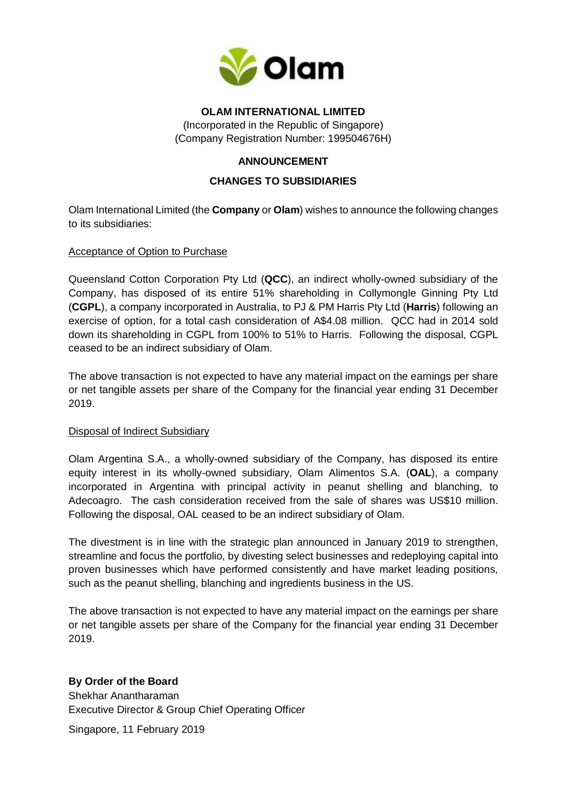

### **OLAM INTERNATIONAL LIMITED**

(Incorporated in the Republic of Singapore) (Company Registration Number: 199504676H)

# **ANNOUNCEMENT**

# **CHANGES TO SUBSIDIARIES**

Olam International Limited (the **Company** or **Olam**) wishes to announce the following changes to its subsidiaries:

#### Acceptance of Option to Purchase

Queensland Cotton Corporation Pty Ltd (**QCC**), an indirect wholly-owned subsidiary of the Company, has disposed of its entire 51% shareholding in Collymongle Ginning Pty Ltd (**CGPL**), a company incorporated in Australia, to PJ & PM Harris Pty Ltd (**Harris**) following an exercise of option, for a total cash consideration of A\$4.08 million. QCC had in 2014 sold down its shareholding in CGPL from 100% to 51% to Harris. Following the disposal, CGPL ceased to be an indirect subsidiary of Olam.

The above transaction is not expected to have any material impact on the earnings per share or net tangible assets per share of the Company for the financial year ending 31 December 2019.

## Disposal of Indirect Subsidiary

Olam Argentina S.A., a wholly-owned subsidiary of the Company, has disposed its entire equity interest in its wholly-owned subsidiary, Olam Alimentos S.A. (**OAL**), a company incorporated in Argentina with principal activity in peanut shelling and blanching, to Adecoagro. The cash consideration received from the sale of shares was US\$10 million. Following the disposal, OAL ceased to be an indirect subsidiary of Olam.

The divestment is in line with the strategic plan announced in January 2019 to strengthen, streamline and focus the portfolio, by divesting select businesses and redeploying capital into proven businesses which have performed consistently and have market leading positions, such as the peanut shelling, blanching and ingredients business in the US.

The above transaction is not expected to have any material impact on the earnings per share or net tangible assets per share of the Company for the financial year ending 31 December 2019.

## **By Order of the Board**

Shekhar Anantharaman Executive Director & Group Chief Operating Officer

Singapore, 11 February 2019